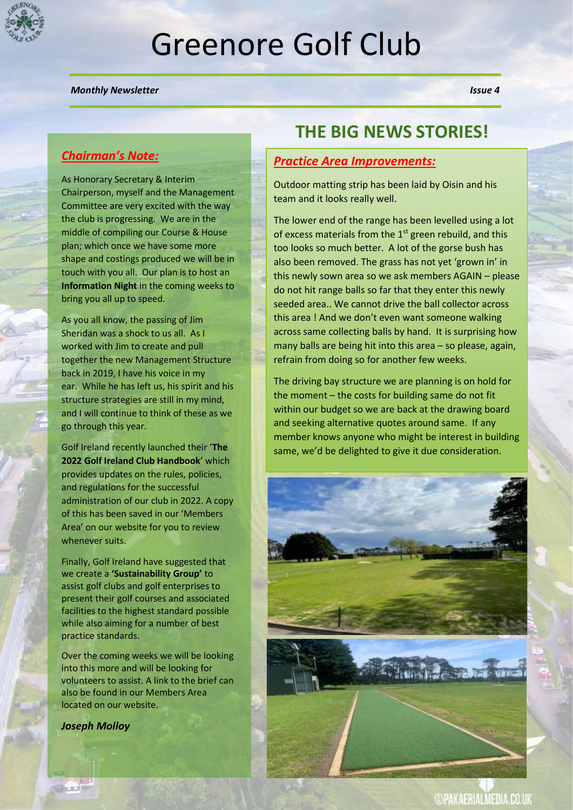

# Greenore Golf Club

#### *Monthly Newsletter* Issue 4 *Issue 4*

#### *Chairman's Note:*

As Honorary Secretary & Interim Chairperson, myself and the Management Committee are very excited with the way the club is progressing. We are in the middle of compiling our Course & House plan; which once we have some more shape and costings produced we will be in touch with you all. Our plan is to host an **Information Night** in the coming weeks to bring you all up to speed.

As you all know, the passing of Jim Sheridan was a shock to us all. As I worked with Jim to create and pull together the new Management Structure back in 2019, I have his voice in my ear. While he has left us, his spirit and his structure strategies are still in my mind, and I will continue to think of these as we go through this year.

Golf Ireland recently launched their '**The 2022 Golf Ireland Club Handbook**' which provides updates on the rules, policies, and regulations for the successful administration of our club in 2022. A copy of this has been saved in our 'Members Area' on our website for you to review whenever suits.

Finally, Golf Ireland have suggested that we create a **'Sustainability Group'** to assist golf clubs and golf enterprises to present their golf courses and associated facilities to the highest standard possible while also aiming for a number of best practice standards.

Over the coming weeks we will be looking into this more and will be looking for volunteers to assist. A link to the brief can also be found in our Members Area located on our website.

#### *Joseph Molloy*

**Charles** 

# **THE BIG NEWS STORIES!**

#### *Practice Area Improvements:*

Outdoor matting strip has been laid by Oisin and his team and it looks really well.

The lower end of the range has been levelled using a lot of excess materials from the  $1<sup>st</sup>$  green rebuild, and this too looks so much better. A lot of the gorse bush has also been removed. The grass has not yet 'grown in' in this newly sown area so we ask members AGAIN – please do not hit range balls so far that they enter this newly seeded area.. We cannot drive the ball collector across this area ! And we don't even want someone walking across same collecting balls by hand. It is surprising how many balls are being hit into this area – so please, again, refrain from doing so for another few weeks.

The driving bay structure we are planning is on hold for the moment – the costs for building same do not fit within our budget so we are back at the drawing board and seeking alternative quotes around same. If any member knows anyone who might be interest in building same, we'd be delighted to give it due consideration.



**©PAKAERIALMEDIA.CO.UK**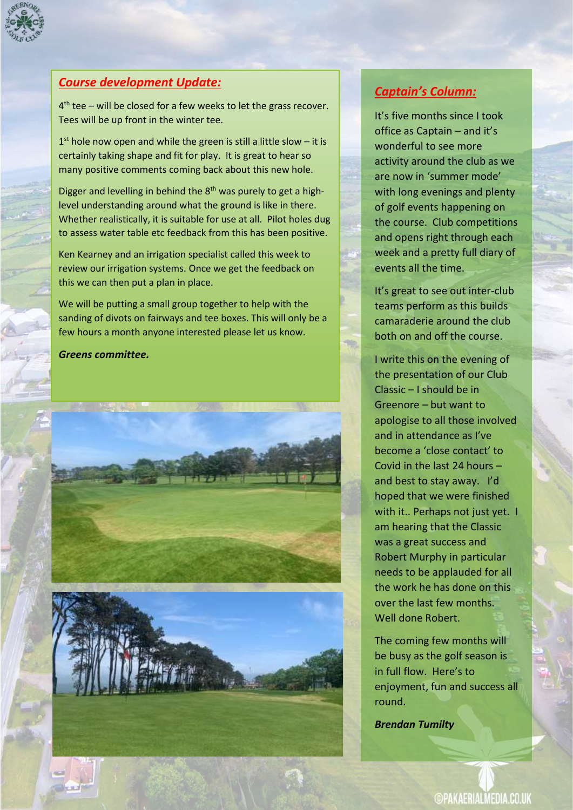

## *Course development Update:*

4<sup>th</sup> tee – will be closed for a few weeks to let the grass recover. Tees will be up front in the winter tee.

 $1<sup>st</sup>$  hole now open and while the green is still a little slow – it is certainly taking shape and fit for play. It is great to hear so many positive comments coming back about this new hole.

Digger and levelling in behind the  $8<sup>th</sup>$  was purely to get a highlevel understanding around what the ground is like in there. Whether realistically, it is suitable for use at all. Pilot holes dug to assess water table etc feedback from this has been positive.

Ken Kearney and an irrigation specialist called this week to review our irrigation systems. Once we get the feedback on this we can then put a plan in place.

We will be putting a small group together to help with the sanding of divots on fairways and tee boxes. This will only be a few hours a month anyone interested please let us know.

*Greens committee.*



## *Captain's Column:*

It's five months since I took office as Captain – and it's wonderful to see more activity around the club as we are now in 'summer mode' with long evenings and plenty of golf events happening on the course. Club competitions and opens right through each week and a pretty full diary of events all the time.

It's great to see out inter-club teams perform as this builds camaraderie around the club both on and off the course.

I write this on the evening of the presentation of our Club Classic – I should be in Greenore – but want to apologise to all those involved and in attendance as I've become a 'close contact' to Covid in the last 24 hours – and best to stay away. I'd hoped that we were finished with it.. Perhaps not just yet. I am hearing that the Classic was a great success and Robert Murphy in particular needs to be applauded for all the work he has done on this over the last few months. Well done Robert.

The coming few months will be busy as the golf season is in full flow. Here's to enjoyment, fun and success all round.

*Brendan Tumilty*

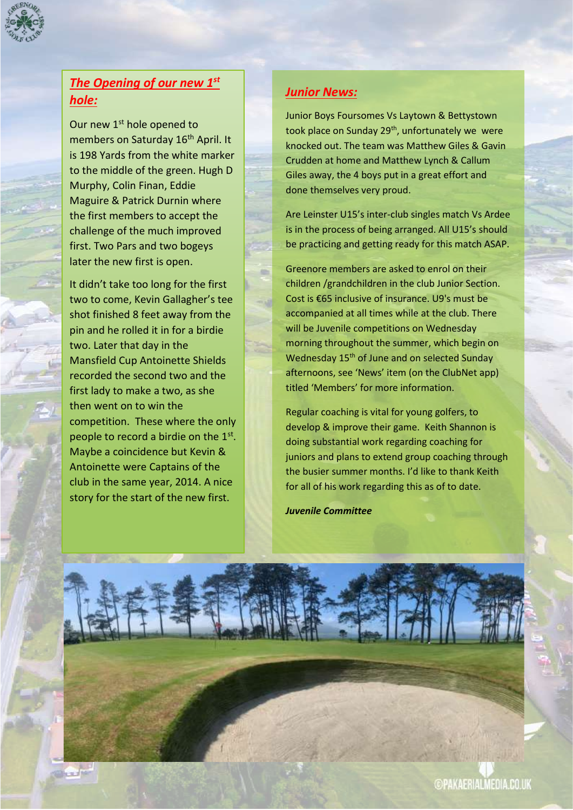

# *The Opening of our new 1st hole:*

Our new 1<sup>st</sup> hole opened to members on Saturday 16<sup>th</sup> April. It is 198 Yards from the white marker to the middle of the green. Hugh D Murphy, Colin Finan, Eddie Maguire & Patrick Durnin where the first members to accept the challenge of the much improved first. Two Pars and two bogeys later the new first is open.

It didn't take too long for the first two to come, Kevin Gallagher's tee shot finished 8 feet away from the pin and he rolled it in for a birdie two. Later that day in the Mansfield Cup Antoinette Shields recorded the second two and the first lady to make a two, as she then went on to win the competition. These where the only people to record a birdie on the 1<sup>st</sup>. Maybe a coincidence but Kevin & Antoinette were Captains of the club in the same year, 2014. A nice story for the start of the new first.

# *Junior News:*

Junior Boys Foursomes Vs Laytown & Bettystown took place on Sunday 29<sup>th</sup>, unfortunately we were knocked out. The team was Matthew Giles & Gavin Crudden at home and Matthew Lynch & Callum Giles away, the 4 boys put in a great effort and done themselves very proud.

Are Leinster U15's inter-club singles match Vs Ardee is in the process of being arranged. All U15's should be practicing and getting ready for this match ASAP.

Greenore members are asked to enrol on their children /grandchildren in the club Junior Section. Cost is €65 inclusive of insurance. U9's must be accompanied at all times while at the club. There will be Juvenile competitions on Wednesday morning throughout the summer, which begin on Wednesday 15<sup>th</sup> of June and on selected Sunday afternoons, see 'News' item (on the ClubNet app) titled 'Members' for more information.

Regular coaching is vital for young golfers, to develop & improve their game. Keith Shannon is doing substantial work regarding coaching for juniors and plans to extend group coaching through the busier summer months. I'd like to thank Keith for all of his work regarding this as of to date.

*Juvenile Committee*

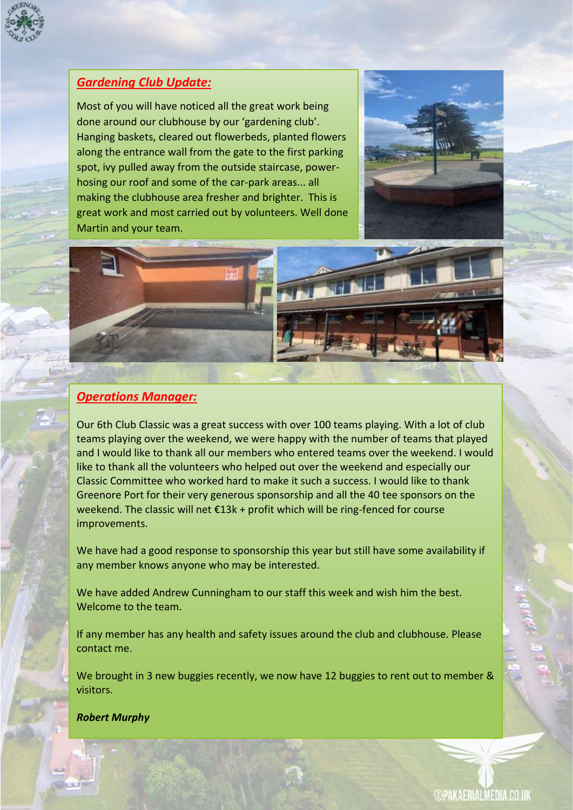

# *Gardening Club Update:*

Most of you will have noticed all the great work being done around our clubhouse by our 'gardening club'. Hanging baskets, cleared out flowerbeds, planted flowers along the entrance wall from the gate to the first parking spot, ivy pulled away from the outside staircase, powerhosing our roof and some of the car-park areas... all making the clubhouse area fresher and brighter. This is great work and most carried out by volunteers. Well done Martin and your team.





#### *Operations Manager:*

Our 6th Club Classic was a great success with over 100 teams playing. With a lot of club teams playing over the weekend, we were happy with the number of teams that played and I would like to thank all our members who entered teams over the weekend. I would like to thank all the volunteers who helped out over the weekend and especially our Classic Committee who worked hard to make it such a success. I would like to thank Greenore Port for their very generous sponsorship and all the 40 tee sponsors on the weekend. The classic will net €13k + profit which will be ring-fenced for course improvements.

We have had a good response to sponsorship this year but still have some availability if any member knows anyone who may be interested.

We have added Andrew Cunningham to our staff this week and wish him the best. Welcome to the team.

If any member has any health and safety issues around the club and clubhouse. Please contact me.

We brought in 3 new buggies recently, we now have 12 buggies to rent out to member & visitors.

#### *Robert Murphy*

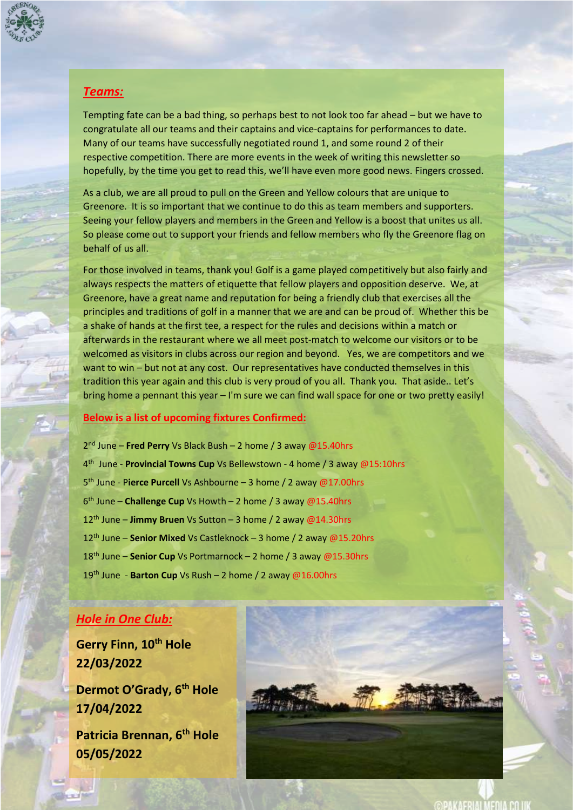

#### *Teams:*

Tempting fate can be a bad thing, so perhaps best to not look too far ahead – but we have to congratulate all our teams and their captains and vice-captains for performances to date. Many of our teams have successfully negotiated round 1, and some round 2 of their respective competition. There are more events in the week of writing this newsletter so hopefully, by the time you get to read this, we'll have even more good news. Fingers crossed.

As a club, we are all proud to pull on the Green and Yellow colours that are unique to Greenore. It is so important that we continue to do this as team members and supporters. Seeing your fellow players and members in the Green and Yellow is a boost that unites us all. So please come out to support your friends and fellow members who fly the Greenore flag on behalf of us all.

For those involved in teams, thank you! Golf is a game played competitively but also fairly and always respects the matters of etiquette that fellow players and opposition deserve. We, at Greenore, have a great name and reputation for being a friendly club that exercises all the principles and traditions of golf in a manner that we are and can be proud of. Whether this be a shake of hands at the first tee, a respect for the rules and decisions within a match or afterwards in the restaurant where we all meet post-match to welcome our visitors or to be welcomed as visitors in clubs across our region and beyond. Yes, we are competitors and we want to win – but not at any cost. Our representatives have conducted themselves in this tradition this year again and this club is very proud of you all. Thank you. That aside.. Let's bring home a pennant this year – I'm sure we can find wall space for one or two pretty easily!

#### **Below is a list of upcoming fixtures Confirmed:**

 nd June – **Fred Perry** Vs Black Bush – 2 home / 3 away @15.40hrs th June - **Provincial Towns Cup** Vs Bellewstown - 4 home / 3 away @15:10hrs th June - P**ierce Purcell** Vs Ashbourne – 3 home / 2 away @17.00hrs th June – **Challenge Cup** Vs Howth – 2 home / 3 away @15.40hrs th June – **Jimmy Bruen** Vs Sutton – 3 home / 2 away @14.30hrs 12<sup>th</sup> June – **Senior Mixed** Vs Castleknock – 3 home / 2 away @15.20hrs th June – **Senior Cup** Vs Portmarnock – 2 home / 3 away @15.30hrs th June - **Barton Cup** Vs Rush – 2 home / 2 away @16.00hrs

#### *Hole in One Club:*

**Gerry Finn, 10th Hole 22/03/2022**

**Dermot O'Grady, 6th Hole 17/04/2022**

**Patricia Brennan, 6th Hole 05/05/2022**

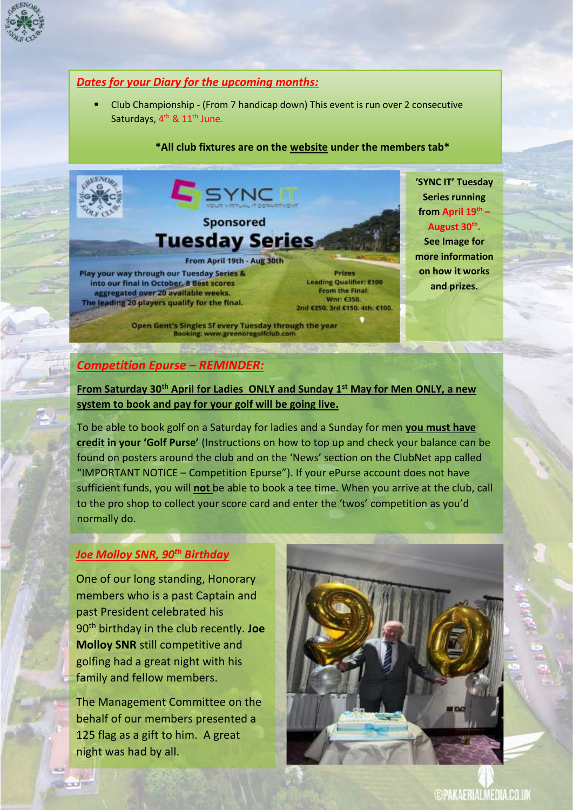

#### *Dates for your Diary for the upcoming months:*

Club Championship - (From 7 handicap down) This event is run over 2 consecutive Saturdays, 4<sup>th</sup> & 11<sup>th</sup> June.

#### **\*All club fixtures are on the website under the members tab\***



**'SYNC IT' Tuesday Series running from April 19th – August 30th .** 

**See Image for more information on how it works and prizes.**

# *Competition Epurse – REMINDER:*

**From Saturday 30th April for Ladies ONLY and Sunday 1st May for Men ONLY, a new system to book and pay for your golf will be going live.**

To be able to book golf on a Saturday for ladies and a Sunday for men **you must have credit in your 'Golf Purse'** (Instructions on how to top up and check your balance can be found on posters around the club and on the 'News' section on the ClubNet app called "IMPORTANT NOTICE – Competition Epurse"). If your ePurse account does not have sufficient funds, you will **not** be able to book a tee time. When you arrive at the club, call to the pro shop to collect your score card and enter the 'twos' competition as you'd normally do.

#### *Joe Molloy SNR, 90th Birthday*

One of our long standing, Honorary members who is a past Captain and past President celebrated his 90th birthday in the club recently. **Joe Molloy SNR** still competitive and golfing had a great night with his family and fellow members.

The Management Committee on the behalf of our members presented a 125 flag as a gift to him. A great night was had by all.



**@PAKAERIALMEDIA.CO.UK**